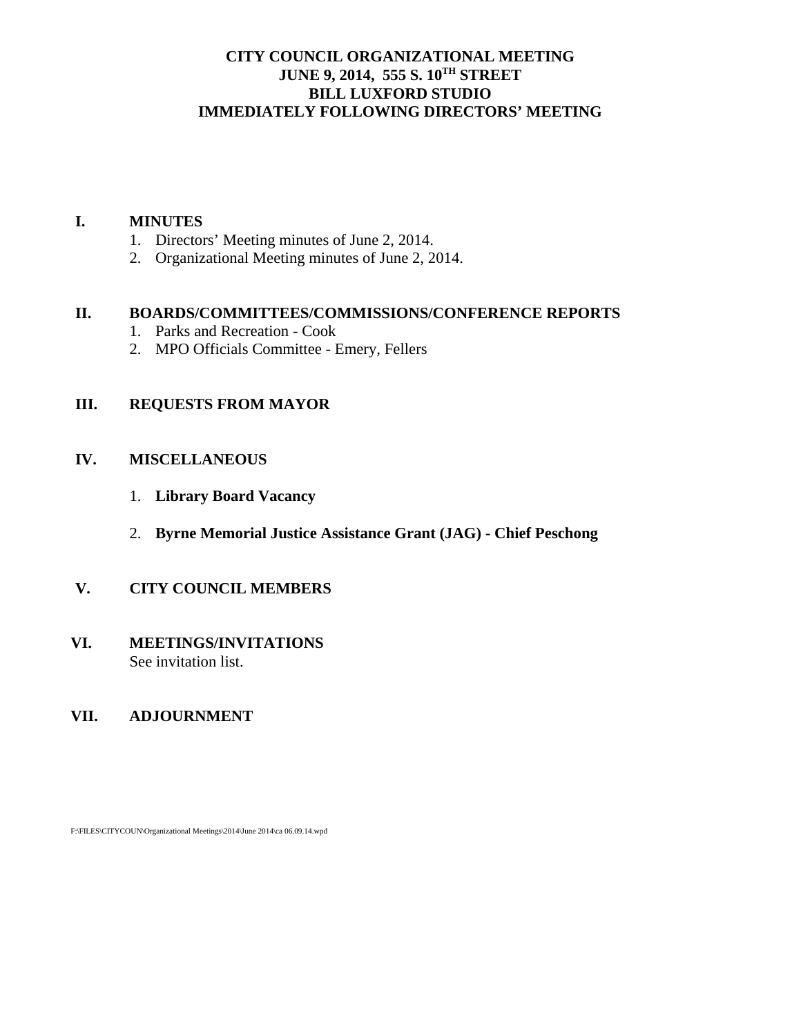## **CITY COUNCIL ORGANIZATIONAL MEETING JUNE 9, 2014, 555 S. 10TH STREET BILL LUXFORD STUDIO IMMEDIATELY FOLLOWING DIRECTORS' MEETING**

#### **I. MINUTES**

- 1. Directors' Meeting minutes of June 2, 2014.
- 2. Organizational Meeting minutes of June 2, 2014.

#### **II. BOARDS/COMMITTEES/COMMISSIONS/CONFERENCE REPORTS**

- 1. Parks and Recreation Cook
- 2. MPO Officials Committee Emery, Fellers

## **III. REQUESTS FROM MAYOR**

#### **IV. MISCELLANEOUS**

- 1. **Library Board Vacancy**
- 2. **Byrne Memorial Justice Assistance Grant (JAG) Chief Peschong**

## **V. CITY COUNCIL MEMBERS**

#### **VI. MEETINGS/INVITATIONS** See invitation list.

## **VII. ADJOURNMENT**

F:\FILES\CITYCOUN\Organizational Meetings\2014\June 2014\ca 06.09.14.wpd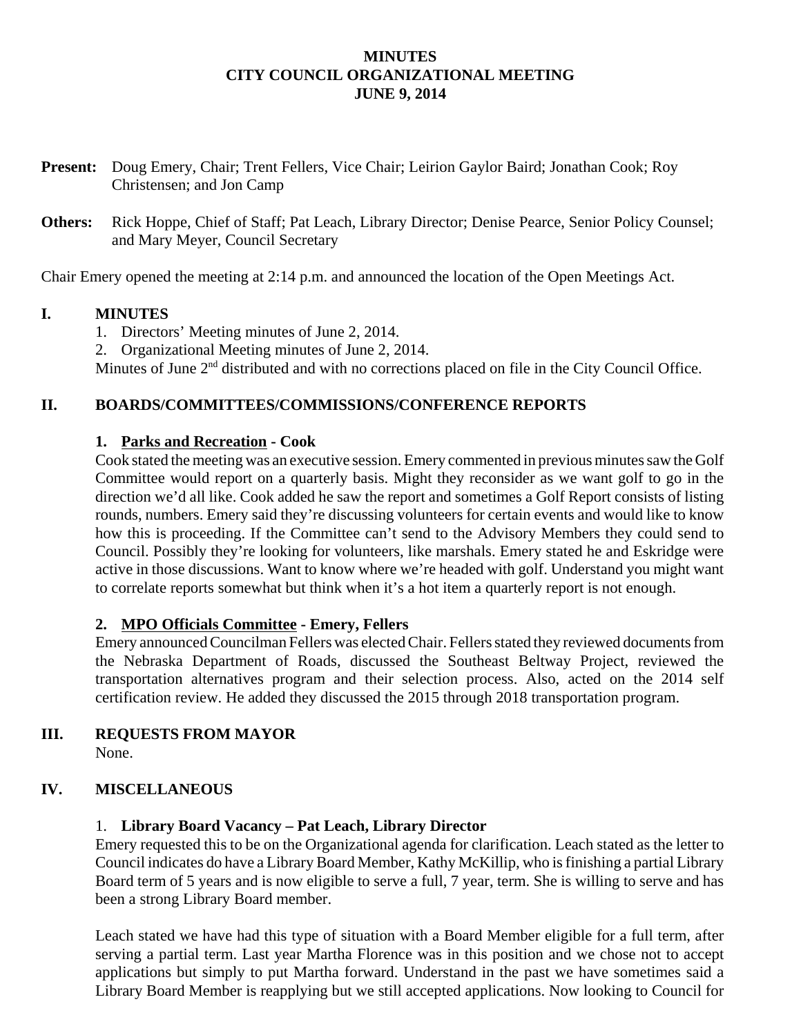### **MINUTES CITY COUNCIL ORGANIZATIONAL MEETING JUNE 9, 2014**

- **Present:** Doug Emery, Chair; Trent Fellers, Vice Chair; Leirion Gaylor Baird; Jonathan Cook; Roy Christensen; and Jon Camp
- **Others:** Rick Hoppe, Chief of Staff; Pat Leach, Library Director; Denise Pearce, Senior Policy Counsel; and Mary Meyer, Council Secretary

Chair Emery opened the meeting at 2:14 p.m. and announced the location of the Open Meetings Act.

#### **I. MINUTES**

- 1. Directors' Meeting minutes of June 2, 2014.
- 2. Organizational Meeting minutes of June 2, 2014.

Minutes of June 2<sup>nd</sup> distributed and with no corrections placed on file in the City Council Office.

## **II. BOARDS/COMMITTEES/COMMISSIONS/CONFERENCE REPORTS**

#### **1. Parks and Recreation - Cook**

Cook stated the meeting was an executive session. Emery commented in previous minutes saw the Golf Committee would report on a quarterly basis. Might they reconsider as we want golf to go in the direction we'd all like. Cook added he saw the report and sometimes a Golf Report consists of listing rounds, numbers. Emery said they're discussing volunteers for certain events and would like to know how this is proceeding. If the Committee can't send to the Advisory Members they could send to Council. Possibly they're looking for volunteers, like marshals. Emery stated he and Eskridge were active in those discussions. Want to know where we're headed with golf. Understand you might want to correlate reports somewhat but think when it's a hot item a quarterly report is not enough.

## **2. MPO Officials Committee - Emery, Fellers**

Emery announced Councilman Fellers was elected Chair. Fellers stated they reviewed documents from the Nebraska Department of Roads, discussed the Southeast Beltway Project, reviewed the transportation alternatives program and their selection process. Also, acted on the 2014 self certification review. He added they discussed the 2015 through 2018 transportation program.

# **III. REQUESTS FROM MAYOR**

None.

#### **IV. MISCELLANEOUS**

## 1. **Library Board Vacancy – Pat Leach, Library Director**

Emery requested this to be on the Organizational agenda for clarification. Leach stated as the letter to Council indicates do have a Library Board Member, Kathy McKillip, who is finishing a partial Library Board term of 5 years and is now eligible to serve a full, 7 year, term. She is willing to serve and has been a strong Library Board member.

Leach stated we have had this type of situation with a Board Member eligible for a full term, after serving a partial term. Last year Martha Florence was in this position and we chose not to accept applications but simply to put Martha forward. Understand in the past we have sometimes said a Library Board Member is reapplying but we still accepted applications. Now looking to Council for